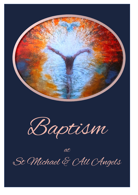

Baptism

at St Michael & AU Angels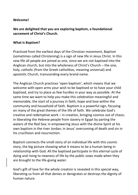### **Welcome!**

# **We are delighted that you are exploring baptism, a foundational sacrament of Christ's Church.**

### **What is Baptism?**

Practiced from the earliest days of the Christian movement, Baptism (sometimes called Christening) is a sign of new life in Jesus Christ. In this new life all people are joined as one, since we are not baptised into the Anglican church, but into the wholeness of Christ's Church – the one, holy, catholic (from the Greek catholikos, meaning universal) and apostolic Church, transcending every brand name.

The Anglican Church practices 'open baptism', which means that we welcome with open arms your wish to be baptised or to have your child baptised, and try to place as few hurdles in your way as possible. At the same time we want to help you make this celebration meaningful and memorable, the start of a journey in faith, hope and love within the community and household of faith. Baptism is a powerful sign, focusing on many of the great themes of the life of faith. We celebrate God's creative and redemptive work – in creation, bringing cosmos out of chaos; in liberating the Hebrew people from slavery in Egypt by parting the waters of the Red Sea; in empowering Jesus with the divine Spirit at his own baptism in the river Jordan; in Jesus' overcoming of death and sin in his crucifixion and resurrection.

Baptism connects the small story of an individual life with this cosmic story, the big picture showing what it means to be a human being in relationship with God. All the baptised participate in this eternal cycle of dying and rising to newness of life by the public vows made when they are brought to the life-giving water.

God's gift of love for the whole creation is revealed in this special way, liberating us from all that denies or denigrates or destroys the dignity of human nature.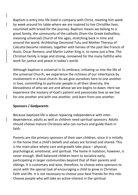Baptism is entry into life lived in company with Christ, meeting him week by week around his table where we are inspired to live Christlike lives, nourished with bread for the journey. Baptism means we belong to a great family, the community of the catholic (from the Greek *katholikos*, meaning universal) Church of the ages, stretching back in time and around the world. Archbishop Desmond Tutu and Mother Theresa of Calcutta become relatives, together with heroes of the past like Francis of Assisi, Oscar Romero, and Martin Luther King Jr, to name just a few. The Christian family is large and strong, renowned for the many faithful who work for justice and peace in today's world.

Although baptism is universal in its embrace, initiating us into the life of the universal Church, we experience the richness of our inheritance by involvement in a local church. As we give ourselves here to one another in love, committing to particular people in all their diversity, the blessedness of who we are and whose we are begins to dawn. Here we experience the mystery of God's patient and passionate love as we live for one another and with one another, and learn from one another.

## **Sponsors / Godparents**

Because baptised life is about replacing independence with interdependence, adults as well as children need spiritual sponsors. Adults should choose mature Christians who can nurture and guide them in faith.

Parents are the primary sponsors of their own children, since it is initially in the home that a child's beliefs and values are formed and shared. This is the main place where care and growth take place – physical, psychological, emotional, and spiritual. The home in isolation, however, is never enough. Well-balanced children learn to socialize early, participating in larger communities beyond that of their parents and siblings. It is customary and wise, therefore, to choose extra sponsors to assist with the special task of encouraging a child to grow in Christian faith and life. It is not necessary to choose your best friends for this role. Choose people who will take an active interest in the spiritual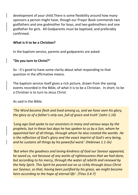development of your child.There is some flexibility around how many sponsors a person might have, though our Prayer Book commends two godfathers and one godmother for boys, and two godmothers and one godfather for girls. All Godparents must be baptised, and preferably confirmed.

# **What is it to be a Christian?**

In the baptism service, parents and godparents are asked:

# **"Do you turn to Christ?"**

So - it's good to have some clarity about what responding to that question in the affirmative means.

The baptism service itself gives a rich picture, drawn from the saving events recorded in the Bible, of what it is to be a Christian. In short, to be a Christian is to turn to Jesus Christ.

As said in the Bible:

*'The Word became flesh and lived among us, and we have seen his glory, the glory as of a father's only son, full of grace and truth' (John 1.14)*

*'Long ago God spoke to our ancestors in many and various ways by the prophets, but in these last days he has spoken to us by a Son, whom he appointed heir of all things, through whom he also created the worlds. He is the reflection of God's glory and the exact imprint of God's very being, and he sustains all things by his powerful word.' (Hebrews 1.1-3A)*

*'But when the goodness and loving-kindness of God our Saviour appeared, he saved us, not because of any works of righteousness that we had done, but according to his mercy, through the water of rebirth and renewal by the Holy Spirit. This Spirit he poured out on us richly through Jesus Christ our Saviour, so that, having been justified by his grace, we might become heirs according to the hope of eternal life'. (Titus 3.4-7)*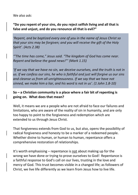#### We also ask:

# **"Do you repent of your sins, do you reject selfish living and all that is false and unjust, and do you renounce all that is evil?"**

*'Repent, and be baptized every one of you in the name of Jesus Christ so that your sins may be forgiven; and you will receive the gift of the Holy Spirit'. (Acts 2.38)*

*'"The time has come," Jesus said. "The kingdom of God has come near. Repent and believe the good news!"' (Mark 1.15)*

*'If we say that we have no sin, we deceive ourselves, and the truth is not in us. If we confess our sins, he who is faithful and just will forgive us our sins and cleanse us from all unrighteousness. If we say that we have not sinned, we make him a liar, and his word is not in us'. (1 John 1.8-10)*

# **So – a Christian community is a place where a fair bit of repenting is going on. What does that mean?**

Well, it means we are a people who are not afraid to face our failures and limitations, who are aware of the reality of sin in humanity, and are only too happy to point to the forgiveness and redemption which are extended to us through Jesus Christ.

That forgiveness extends from God to us, but also, opens the possibility of radical forgiveness and honesty to be a marker of a redeemed people. Whether divine to human, or human to human, repentance offers a comprehensive restoration of relationships.

It's worth emphasising – repentance is not about making up for the wrong we have done or trying to prove ourselves to God! Repentance is a faithful response to God's call on our lives, trusting in the love and mercy of God. This trust becomes visible in a changed life; as followers of Christ, we live life differently as we learn from Jesus how to live life.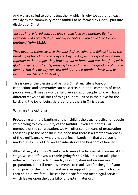And we are called to do this together – which is why we gather at least weekly as the community of the faithful to be formed by God's Spirit into disciples of Christ.

*'Just as I have loved you, you also should love one another. By this everyone will know that you are my disciples, if you have love for one another.' (John 13.35)*

*They devoted themselves to the apostles' teaching and fellowship, to the breaking of bread and the prayers. Day by day, as they spent much time together in the temple, they broke bread at home and ate their food with glad and generous hearts, praising God and having the goodwill of all the people. And day by day the Lord added to their number those who were being saved. (Acts 2.42, 46-47)*

This is one of the blessings of being a Christian. Life is busy, or connections and community can be scarce, but in the company of Jesus' people you will meet a wonderful diverse mix of people, who will have different views on all sorts of things but are united in their love for the Lord, and the joy of being sisters and brothers in Christ Jesus.

## **What are the options?**

Proceeding with the **baptism** of their child is the usual practice for people who belong to a community of the faithful. If you are not regular members of the congregation, we will offer some means of preparation in the lead up to the baptism in the hope that there is a greater awareness of the significance of what is happening in baptism – that a person is marked as a child of God and an inheritor of the Kingdom of heaven.

Alternatively, if you don't feel able to make the baptismal promises at this stage, we can offer you a **Thanksgiving for a Child.** This can take place either within or outside of Sunday worship, does not require much preparation, but still provides a means to thank God for the gift of your child, pray for their growth, and receive support from those involved in their spiritual welfare. This can be a heartfelt and meaningful service which leaves open the possibility of baptism later on.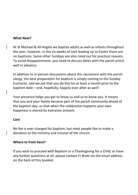#### **What Next?**

At St Michael & All Angels we baptize adults as well as infants throughout the year, however, in the six weeks of Lent leading up to Easter there are no baptisms. Some other Sundays are also ruled out for practical reasons. To avoid disappointment, you need to discuss dates with the parish priest well in advance.

In addition to in-person discussions about this sacrament with the parish clergy, the best preparation for baptism is simply coming to the Sunday Eucharist, and we ask that you do this for at least a month prior to the baptism date – and, hopefully, happily ever-after as well!

Your presence helps you get to know us and us to know you. It means that you and your family become part of the parish community ahead of the baptism day, so that when the celebration happens your own happiness is shared by everyone present.

#### **Cost**

No fee is ever charged for baptism, but most people like to make a donation to the ministry and mission of the church.

## **Where to from here?**

If you wish to proceed with Baptism or a Thanksgiving for a Child, or have any further questions at all, please contact Fr Brett via the email address on the back of this booklet.